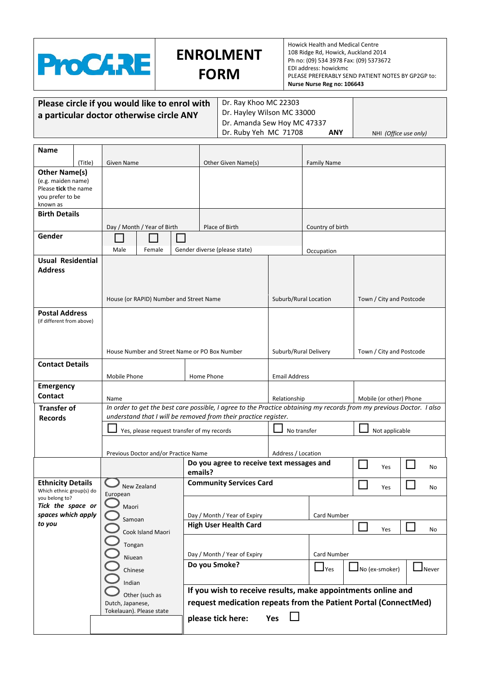

## **ENROLMENT FORM**

Howick Health and Medical Centre 108 Ridge Rd, Howick, Auckland 2014 Ph no: (09) 534 3978 Fax: (09) 5373672 EDI address: howickmc PLEASE PREFERABLY SEND PATIENT NOTES BY GP2GP to: **Nurse Nurse Reg no: 106643** 

| Please circle if you would like to enrol with | Dr. F              |
|-----------------------------------------------|--------------------|
| a particular doctor otherwise circle ANY      | Dr. F              |
|                                               | $\mathsf{L}$ Dr. A |

Ray Khoo MC 22303 Hayley Wilson MC 33000 Amanda Sew Hoy MC 47337 Dr. Ruby Yeh MC 71708 **ANY** NHI *(Office use only)* 

| Name                                                                                               |         |                                         |                                                                                                                      |         |                                                                                                                                                             |                                         |                    |                |                             |
|----------------------------------------------------------------------------------------------------|---------|-----------------------------------------|----------------------------------------------------------------------------------------------------------------------|---------|-------------------------------------------------------------------------------------------------------------------------------------------------------------|-----------------------------------------|--------------------|----------------|-----------------------------|
|                                                                                                    | (Title) | Given Name                              |                                                                                                                      |         | Other Given Name(s)                                                                                                                                         |                                         | <b>Family Name</b> |                |                             |
| <b>Other Name(s)</b><br>(e.g. maiden name)<br>Please tick the name<br>you prefer to be<br>known as |         |                                         |                                                                                                                      |         |                                                                                                                                                             |                                         |                    |                |                             |
| <b>Birth Details</b>                                                                               |         |                                         |                                                                                                                      |         |                                                                                                                                                             |                                         |                    |                |                             |
|                                                                                                    |         |                                         | Day / Month / Year of Birth                                                                                          |         | Place of Birth                                                                                                                                              |                                         | Country of birth   |                |                             |
| Gender                                                                                             |         |                                         |                                                                                                                      |         |                                                                                                                                                             |                                         |                    |                |                             |
|                                                                                                    |         | Male                                    | Female                                                                                                               |         | Gender diverse (please state)                                                                                                                               |                                         | Occupation         |                |                             |
| <b>Usual Residential</b><br><b>Address</b>                                                         |         | House (or RAPID) Number and Street Name |                                                                                                                      |         | Suburb/Rural Location<br>Town / City and Postcode                                                                                                           |                                         |                    |                |                             |
|                                                                                                    |         |                                         |                                                                                                                      |         |                                                                                                                                                             |                                         |                    |                |                             |
| <b>Postal Address</b><br>(if different from above)                                                 |         |                                         | House Number and Street Name or PO Box Number<br>Suburb/Rural Delivery                                               |         | Town / City and Postcode                                                                                                                                    |                                         |                    |                |                             |
| <b>Contact Details</b>                                                                             |         |                                         |                                                                                                                      |         |                                                                                                                                                             |                                         |                    |                |                             |
|                                                                                                    |         | Mobile Phone                            |                                                                                                                      |         | Home Phone                                                                                                                                                  | <b>Email Address</b>                    |                    |                |                             |
| <b>Emergency</b>                                                                                   |         |                                         |                                                                                                                      |         |                                                                                                                                                             |                                         |                    |                |                             |
| <b>Contact</b>                                                                                     |         | Name                                    |                                                                                                                      |         |                                                                                                                                                             | Mobile (or other) Phone<br>Relationship |                    |                |                             |
| <b>Transfer of</b>                                                                                 |         |                                         | In order to get the best care possible, I agree to the Practice obtaining my records from my previous Doctor. I also |         |                                                                                                                                                             |                                         |                    |                |                             |
| <b>Records</b>                                                                                     |         |                                         | understand that I will be removed from their practice register.                                                      |         |                                                                                                                                                             |                                         |                    |                |                             |
|                                                                                                    |         |                                         | Yes, please request transfer of my records                                                                           |         |                                                                                                                                                             | No transfer                             |                    | Not applicable |                             |
|                                                                                                    |         | Previous Doctor and/or Practice Name    |                                                                                                                      |         |                                                                                                                                                             | Address / Location                      |                    |                |                             |
|                                                                                                    |         |                                         |                                                                                                                      |         | Do you agree to receive text messages and                                                                                                                   |                                         |                    | Yes            | No                          |
|                                                                                                    |         |                                         |                                                                                                                      | emails? |                                                                                                                                                             |                                         |                    |                |                             |
| <b>Ethnicity Details</b><br>Which ethnic group(s) do                                               |         | European                                | New Zealand                                                                                                          |         | <b>Community Services Card</b>                                                                                                                              |                                         |                    | Yes            | No                          |
| you belong to?<br>Tick the space or                                                                |         | Maori                                   |                                                                                                                      |         |                                                                                                                                                             |                                         |                    |                |                             |
| spaces which apply                                                                                 |         |                                         |                                                                                                                      |         | Day / Month / Year of Expiry                                                                                                                                |                                         | Card Number        |                |                             |
| to you                                                                                             |         |                                         | Samoan<br>Cook Island Maori<br>Tongan<br>Niuean<br>Chinese<br>Indian                                                 |         | <b>High User Health Card</b>                                                                                                                                |                                         |                    | Yes            | No                          |
|                                                                                                    |         |                                         |                                                                                                                      |         | Day / Month / Year of Expiry                                                                                                                                |                                         | Card Number        |                |                             |
|                                                                                                    |         |                                         |                                                                                                                      |         | Do you Smoke?                                                                                                                                               |                                         | $\Box$ Yes         | No (ex-smoker) | $\mathsf{\mathsf{J}}$ Never |
|                                                                                                    |         | Dutch, Japanese,                        | Other (such as<br>Tokelauan). Please state                                                                           |         | If you wish to receive results, make appointments online and<br>request medication repeats from the Patient Portal (ConnectMed)<br>please tick here:<br>Yes |                                         |                    |                |                             |
|                                                                                                    |         |                                         |                                                                                                                      |         |                                                                                                                                                             |                                         |                    |                |                             |